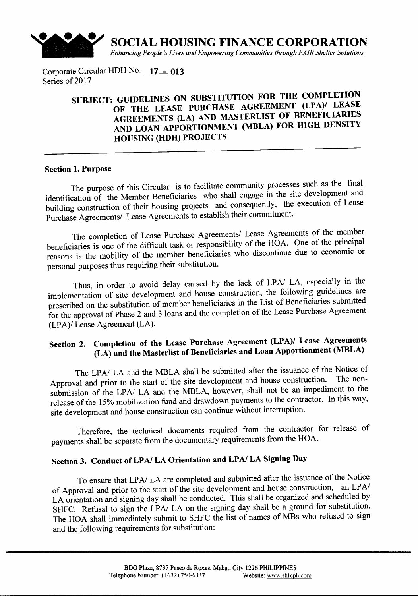

Corporate Circular HDH No.  $17 - 013$ Series of 2017

## SUBJECT: GUIDELINES ON SUBSTITUTION FOR THE COMPLETION OF THE LEASE PURCHASE AGREEMENT (LPA)/ LEASE AGREEMENTS (LA) AND MASTERLIST OF BENEFICIARIES AND LOAN APPORTIONMENT (MBLA) FOR HIGH DENSITY HOUSING (HDH) PROJECTS

#### Section 1.Purpose

The purpose of this Circular is to facilitate community processes such as the final identification of the Member Beneficiaries who shall engage in the site development and building construction of their housing projects and consequently, the execution of Lease Purchase Agreements/ Lease Agreements to establish their commitment.

The completion of Lease Purchase Agreements/ Lease Agreements of the member beneficiaries is one of the difficult task or responsibility of the HOA. One of the principal reasons is the mobility of the member beneficiaries who discontinue due to economic or personal purposes thus requiring their substitution.

Thus, in order to avoid delay caused by the lack of LP*AI* LA, especially in the implementation of site development and house construction, the following guidelines are prescribed on the substitution of member beneficiaries in the List of Beneficiaries submitted for the approval of Phase 2 and 3 loans and the completion of the Lease Purchase Agreement (LPA)/ Lease Agreement (LA).

## Section 2. Completion of the Lease Purchase Agreement (LPA)/ Lease Agreements (LA) and the Masterlist of Beneficiaries and Loan Apportionment (MBLA)

The LP*AI* LA and the MBLA shall be submitted after the issuance of the Notice of Approval and prior to the start of the site development and house construction. The nonsubmission of the LPA/ LA and the MBLA, however, shall not be an impediment to the release of the 15% mobilization fund and drawdown payments to the contractor. In this way, site development and house construction can continue without interruption.

Therefore, the technical documents required from the contractor for release of payments shall be separate from the documentary requirements from the HOA.

# Section 3. Conduct of LP*AI* LA Orientation and LP*AI* LA Signing Day

To ensure that LP*AI* LA are completed and submitted after the issuance of the Notice of Approval and prior to the start of the site development and house construction, an LP*AI* LA orientation and signing day shall be conducted. This shall be organized and scheduled by SHFC. Refusal to sign the LPA/ LA on the signing day shall be a ground for substitution. The HOA shall immediately submit to SHFC the list of names of MBs who refused to sign and the following requirements for substitution: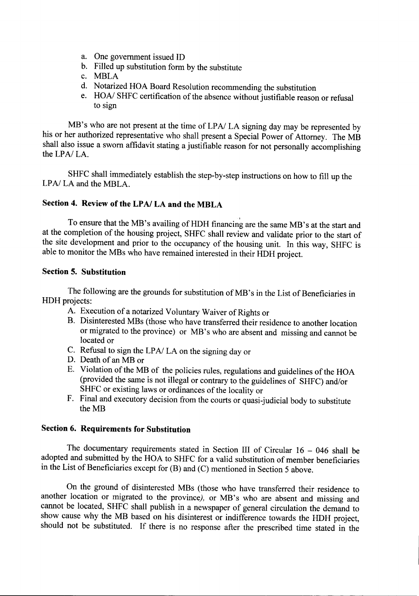- a. One government issued ID
- b. Filled up substitution form by the substitute
- c. MBLA
- d. Notarized HOA Board Resolution recommending the substitution
- e. *HOA/* SHFC certification of the absence without justifiable reason or refusal to sign

MB's who are not present at the time of LP*AI* LA signing day may be represented by his or her authorized representative who shall present a Special Power of Attorney. The MB shall also issue a sworn affidavit stating a justifiable reason for not personally accomplishing the *LPAI* LA.

SHFC shall immediately establish the step-by-step instructions on how to fill up the LP*AI* LA and the MBLA.

## Section 4. Review of the LP*AI* LA and the MBLA

, To ensure that the MB's availing of HDH financing are the same MB's at the start and at the completion of the housing project, SHFC shall review and validate prior to the start of the site development and prior to the occupancy of the housing unit. In this way, SHFC is able to monitor the MBs who have remained interested in their HDH project.

### Section 5. Substitution

The following are the grounds for substitution of MB's in the List of Beneficiaries in HDH projects:

- A. Execution of a notarized Voluntary Waiver of Rights or
- B. Disinterested MBs (those who have transferred their residence to another location or migrated to the province) or MB's who are absent and missing and cannot be located or
- C. Refusal to sign the LP*AI* LA on the signing day or
- D. Death of an MB or
- E. Violation of the MB of the policies rules, regulations and guidelines of the HOA (provided the same is not illegal or contrary to the guidelines of SHFC) andlor SHFC or existing laws or ordinances of the locality or
- F. Final and executory decision from the courts or quasi-judicial body to substitute the MB

## Section 6. Requirements for Substitution

The documentary requirements stated in Section III of Circular  $16 - 046$  shall be adopted and submitted by the HOA to SHFC for a valid substitution of member beneficiaries in the List of Beneficiaries except for (B) and (C) mentioned in Section 5 above.

On the ground of disinterested MBs (those who have transferred their residence to another location or migrated to the province), or MB's who are absent and missing and cannot be located, SHFC shall publish in a newspaper of general circulation the demand to show cause why the MB based on his disinterest or indifference towards the HDH project, should not be substituted. If there is no response after the prescribed time stated in the